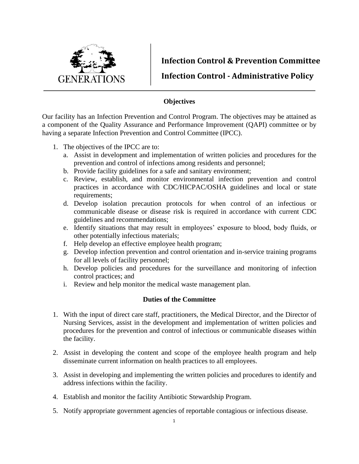

**Infection Control & Prevention Committee**

**Infection Control - Administrative Policy**

### **Objectives**

Our facility has an Infection Prevention and Control Program. The objectives may be attained as a component of the Quality Assurance and Performance Improvement (QAPI) committee or by having a separate Infection Prevention and Control Committee (IPCC).

- 1. The objectives of the IPCC are to:
	- a. Assist in development and implementation of written policies and procedures for the prevention and control of infections among residents and personnel;
	- b. Provide facility guidelines for a safe and sanitary environment;
	- c. Review, establish, and monitor environmental infection prevention and control practices in accordance with CDC/HICPAC/OSHA guidelines and local or state requirements;
	- d. Develop isolation precaution protocols for when control of an infectious or communicable disease or disease risk is required in accordance with current CDC guidelines and recommendations;
	- e. Identify situations that may result in employees' exposure to blood, body fluids, or other potentially infectious materials;
	- f. Help develop an effective employee health program;
	- g. Develop infection prevention and control orientation and in-service training programs for all levels of facility personnel;
	- h. Develop policies and procedures for the surveillance and monitoring of infection control practices; and
	- i. Review and help monitor the medical waste management plan.

# **Duties of the Committee**

- 1. With the input of direct care staff, practitioners, the Medical Director, and the Director of Nursing Services, assist in the development and implementation of written policies and procedures for the prevention and control of infectious or communicable diseases within the facility.
- 2. Assist in developing the content and scope of the employee health program and help disseminate current information on health practices to all employees.
- 3. Assist in developing and implementing the written policies and procedures to identify and address infections within the facility.
- 4. Establish and monitor the facility Antibiotic Stewardship Program.
- 5. Notify appropriate government agencies of reportable contagious or infectious disease.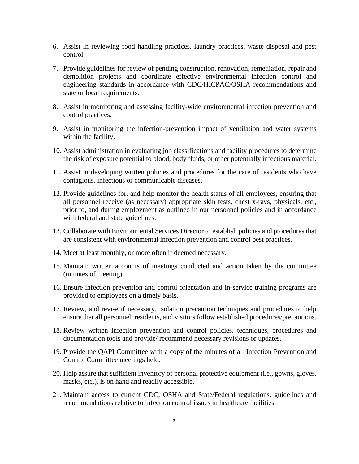- 6. Assist in reviewing food handling practices, laundry practices, waste disposal and pest control.
- 7. Provide guidelines for review of pending construction, renovation, remediation, repair and demolition projects and coordinate effective environmental infection control and engineering standards in accordance with CDC/HICPAC/OSHA recommendations and state or local requirements.
- 8. Assist in monitoring and assessing facility-wide environmental infection prevention and control practices.
- 9. Assist in monitoring the infection-prevention impact of ventilation and water systems within the facility.
- 10. Assist administration in evaluating job classifications and facility procedures to determine the risk of exposure potential to blood, body fluids, or other potentially infectious material.
- 11. Assist in developing written policies and procedures for the care of residents who have contagious, infectious or communicable diseases.
- 12. Provide guidelines for, and help monitor the health status of all employees, ensuring that all personnel receive (as necessary) appropriate skin tests, chest x-rays, physicals, etc., prior to, and during employment as outlined in our personnel policies and in accordance with federal and state guidelines.
- 13. Collaborate with Environmental Services Director to establish policies and procedures that are consistent with environmental infection prevention and control best practices.
- 14. Meet at least monthly, or more often if deemed necessary.
- 15. Maintain written accounts of meetings conducted and action taken by the committee (minutes of meeting).
- 16. Ensure infection prevention and control orientation and in-service training programs are provided to employees on a timely basis.
- 17. Review, and revise if necessary, isolation precaution techniques and procedures to help ensure that all personnel, residents, and visitors follow established procedures/precautions.
- 18. Review written infection prevention and control policies, techniques, procedures and documentation tools and provide/ recommend necessary revisions or updates.
- 19. Provide the QAPI Committee with a copy of the minutes of all Infection Prevention and Control Committee meetings held.
- 20. Help assure that sufficient inventory of personal protective equipment (i.e., gowns, gloves, masks, etc.), is on hand and readily accessible.
- 21. Maintain access to current CDC, OSHA and State/Federal regulations, guidelines and recommendations relative to infection control issues in healthcare facilities.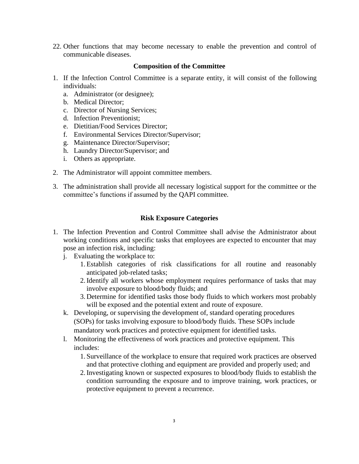22. Other functions that may become necessary to enable the prevention and control of communicable diseases.

#### **Composition of the Committee**

- 1. If the Infection Control Committee is a separate entity, it will consist of the following individuals:
	- a. Administrator (or designee);
	- b. Medical Director;
	- c. Director of Nursing Services;
	- d. Infection Preventionist;
	- e. Dietitian/Food Services Director;
	- f. Environmental Services Director/Supervisor;
	- g. Maintenance Director/Supervisor;
	- h. Laundry Director/Supervisor; and
	- i. Others as appropriate.
- 2. The Administrator will appoint committee members.
- 3. The administration shall provide all necessary logistical support for the committee or the committee's functions if assumed by the QAPI committee.

### **Risk Exposure Categories**

- 1. The Infection Prevention and Control Committee shall advise the Administrator about working conditions and specific tasks that employees are expected to encounter that may pose an infection risk, including:
	- j. Evaluating the workplace to:
		- 1.Establish categories of risk classifications for all routine and reasonably anticipated job-related tasks;
		- 2.Identify all workers whose employment requires performance of tasks that may involve exposure to blood/body fluids; and
		- 3. Determine for identified tasks those body fluids to which workers most probably will be exposed and the potential extent and route of exposure.
	- k. Developing, or supervising the development of, standard operating procedures (SOPs) for tasks involving exposure to blood/body fluids. These SOPs include mandatory work practices and protective equipment for identified tasks.
	- l. Monitoring the effectiveness of work practices and protective equipment. This includes:
		- 1. Surveillance of the workplace to ensure that required work practices are observed and that protective clothing and equipment are provided and properly used; and
		- 2.Investigating known or suspected exposures to blood/body fluids to establish the condition surrounding the exposure and to improve training, work practices, or protective equipment to prevent a recurrence.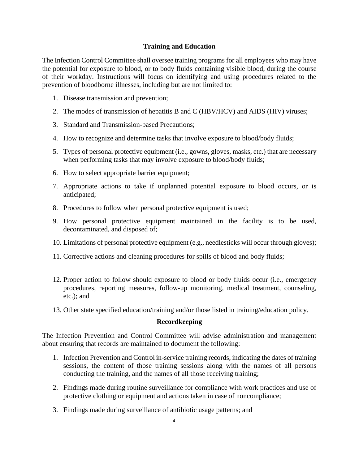### **Training and Education**

The Infection Control Committee shall oversee training programs for all employees who may have the potential for exposure to blood, or to body fluids containing visible blood, during the course of their workday. Instructions will focus on identifying and using procedures related to the prevention of bloodborne illnesses, including but are not limited to:

- 1. Disease transmission and prevention;
- 2. The modes of transmission of hepatitis B and C (HBV/HCV) and AIDS (HIV) viruses;
- 3. Standard and Transmission-based Precautions;
- 4. How to recognize and determine tasks that involve exposure to blood/body fluids;
- 5. Types of personal protective equipment (i.e., gowns, gloves, masks, etc.) that are necessary when performing tasks that may involve exposure to blood/body fluids;
- 6. How to select appropriate barrier equipment;
- 7. Appropriate actions to take if unplanned potential exposure to blood occurs, or is anticipated;
- 8. Procedures to follow when personal protective equipment is used;
- 9. How personal protective equipment maintained in the facility is to be used, decontaminated, and disposed of;
- 10. Limitations of personal protective equipment (e.g., needlesticks will occur through gloves);
- 11. Corrective actions and cleaning procedures for spills of blood and body fluids;
- 12. Proper action to follow should exposure to blood or body fluids occur (i.e., emergency procedures, reporting measures, follow-up monitoring, medical treatment, counseling, etc.); and
- 13. Other state specified education/training and/or those listed in training/education policy.

### **Recordkeeping**

The Infection Prevention and Control Committee will advise administration and management about ensuring that records are maintained to document the following:

- 1. Infection Prevention and Control in-service training records, indicating the dates of training sessions, the content of those training sessions along with the names of all persons conducting the training, and the names of all those receiving training;
- 2. Findings made during routine surveillance for compliance with work practices and use of protective clothing or equipment and actions taken in case of noncompliance;
- 3. Findings made during surveillance of antibiotic usage patterns; and